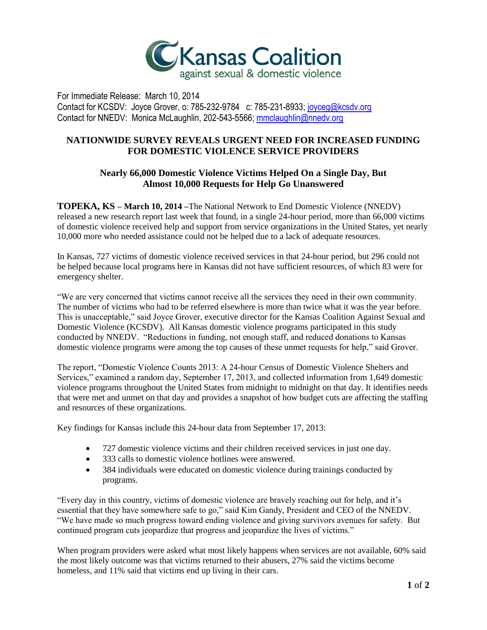

For Immediate Release: March 10, 2014 Contact for KCSDV: Joyce Grover, o: 785-232-9784 c: 785-231-8933[; joyceg@kcsdv.org](mailto:joyceg@kcsdv.org) Contact for NNEDV: Monica McLaughlin, 202-543-5566; [mmclaughlin@nnedv.org](file:///C:/Users/JGrover/AppData/Local/Microsoft/Windows/Temporary%20Internet%20Files/AppData/Local/Microsoft/Windows/Temporary%20Internet%20Files/Content.Outlook/GBC3SMRN/mmclaughlin@nnedv.org)

## **NATIONWIDE SURVEY REVEALS URGENT NEED FOR INCREASED FUNDING FOR DOMESTIC VIOLENCE SERVICE PROVIDERS**

## **Nearly 66,000 Domestic Violence Victims Helped On a Single Day, But Almost 10,000 Requests for Help Go Unanswered**

**TOPEKA, KS – March 10, 2014 –**The National Network to End Domestic Violence (NNEDV) released a new research report last week that found, in a single 24-hour period, more than 66,000 victims of domestic violence received help and support from service organizations in the United States, yet nearly 10,000 more who needed assistance could not be helped due to a lack of adequate resources.

In Kansas, 727 victims of domestic violence received services in that 24-hour period, but 296 could not be helped because local programs here in Kansas did not have sufficient resources, of which 83 were for emergency shelter.

"We are very concerned that victims cannot receive all the services they need in their own community. The number of victims who had to be referred elsewhere is more than twice what it was the year before. This is unacceptable," said Joyce Grover, executive director for the Kansas Coalition Against Sexual and Domestic Violence (KCSDV). All Kansas domestic violence programs participated in this study conducted by NNEDV. "Reductions in funding, not enough staff, and reduced donations to Kansas domestic violence programs were among the top causes of these unmet requests for help," said Grover.

The report, "Domestic Violence Counts 2013: A 24-hour Census of Domestic Violence Shelters and Services," examined a random day, September 17, 2013, and collected information from 1,649 domestic violence programs throughout the United States from midnight to midnight on that day. It identifies needs that were met and unmet on that day and provides a snapshot of how budget cuts are affecting the staffing and resources of these organizations.

Key findings for Kansas include this 24-hour data from September 17, 2013:

- 727 domestic violence victims and their children received services in just one day.
- 333 calls to domestic violence hotlines were answered.
- 384 individuals were educated on domestic violence during trainings conducted by programs.

"Every day in this country, victims of domestic violence are bravely reaching out for help, and it's essential that they have somewhere safe to go," said Kim Gandy, President and CEO of the NNEDV. "We have made so much progress toward ending violence and giving survivors avenues for safety. But continued program cuts jeopardize that progress and jeopardize the lives of victims."

When program providers were asked what most likely happens when services are not available, 60% said the most likely outcome was that victims returned to their abusers, 27% said the victims become homeless, and 11% said that victims end up living in their cars.